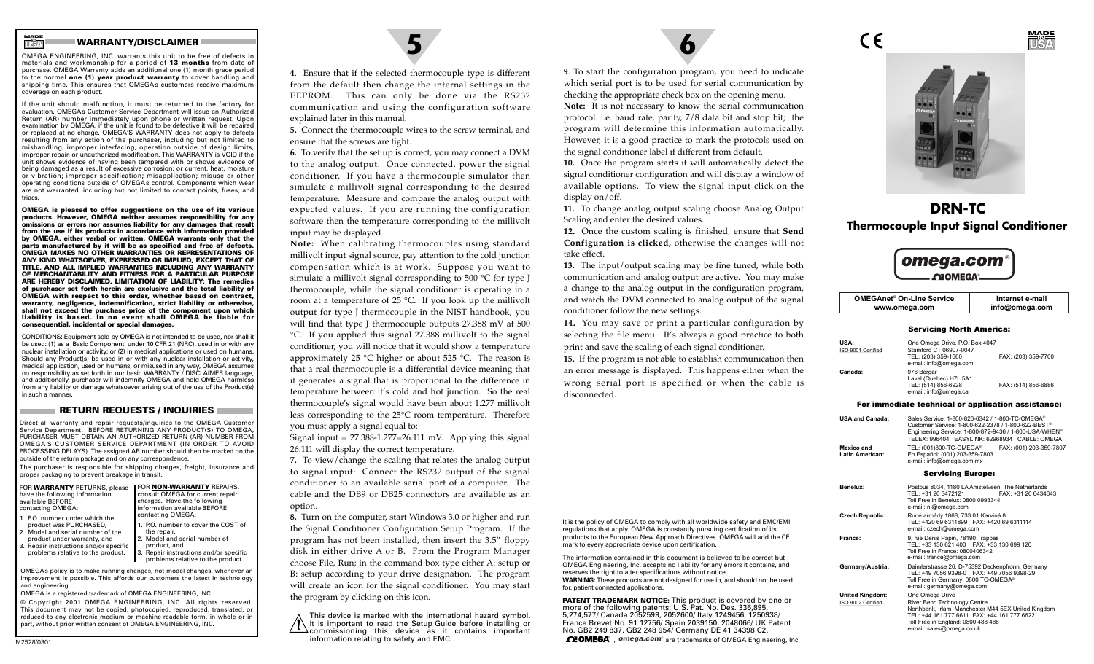## **WARRANTY/DISCLAIMER**

**USAMADE IN**

OMEGA ENGINEERING, INC. warrants this unit to be free of defects in materials and workmanship for a period of **13 months** from date of purchase. OMEGA Warranty adds an additional one (1) month grace period to the normal **one (1) year product warranty** to cover handling and shipping time. This ensures that OMEGAs customers receive maximum coverage on each product.

If the unit should malfunction, it must be returned to the factory for evaluation. OMEGAs Customer Service Department will issue an Authorized Return (AR) number immediately upon phone or written request. Upon examination by OMEGA, if the unit is found to be defective it will be repaired or replaced at no charge. OMEGA'S WARRANTY does not apply to defects resulting from any action of the purchaser, including but not limited to mishandling, improper interfacing, operation outside of design limits, improper repair, or unauthorized modification. This WARRANTY is VOID if the unit shows evidence of having been tampered with or shows evidence of being damaged as a result of excessive corrosion; or current, heat, moisture or vibration; improper specification; misapplication; misuse or other operating conditions outside of OMEGAs control. Components which wear are not warranted, including but not limited to contact points, fuses, and triacs.

**OMEGA is pleased to offer suggestions on the use of its various products. However, OMEGA neither assumes responsibility for any omissions or errors nor assumes liability for any damages that result from the use if its products in accordance with information provided by OMEGA, either verbal or written. OMEGA warrants only that the parts manufactured by it will be as specified and free of defects. OMEGA MAKES NO OTHER WARRANTIES OR REPRESENTATIONS OF ANY KIND WHATSOEVER, EXPRESSED OR IMPLIED, EXCEPT THAT OF TITLE, AND ALL IMPLIED WARRANTIES INCLUDING ANY WARRANTY OF MERCHANTABILITY AND FITNESS FOR A PARTICULAR PURPOSE ARE HEREBY DISCLAIMED. LIMITATION OF LIABILITY: The remedies of purchaser set forth herein are exclusive and the total liability of OMEGA with respect to this order, whether based on contract, warranty, negligence, indemnification, strict liability or otherwise, shall not exceed the purchase price of the component upon which liability is based. In no event shall OMEGA be liable for consequential, incidental or special damages.**

CONDITIONS: Equipment sold by OMEGA is not intended to be used, nor shall it be used: (1) as a Basic Component under 10 CFR 21 (NRC), used in or with any nuclear installation or activity; or (2) in medical applications or used on humans. Should any Product(s) be used in or with any nuclear installation or activity, medical application, used on humans, or misused in any way, OMEGA assumes no responsibility as set forth in our basic WARRANTY / DISCLAIMER language, and additionally, purchaser will indemnify OMEGA and hold OMEGA harmless from any liability or damage whatsoever arising out of the use of the Product(s) in such a manner.

#### **RETURN REQUESTS / INQUIRIES**

Direct all warranty and repair requests/inquiries to the OMEGA Customer Service Department. BEFORE RETURNING ANY PRODUCT(S) TO OMEGA, PURCHASER MUST OBTAIN AN AUTHORIZED RETURN (AR) NUMBER FROM OMEGA S CUSTOMER SERVICE DEPARTMENT (IN ORDER TO AVOID PROCESSING DELAYS). The assigned AR number should then be marked on the outside of the return package and on any correspondence.

The purchaser is responsible for shipping charges, freight, insurance and proper packaging to prevent breakage in transit.

| FOR WARRANTY RETURNS, please   | FOR <b>NON-WARRANTY</b> REPAIRS, |
|--------------------------------|----------------------------------|
| have the following information | consult OMEGA for current repair |
| available BEFORE               | charges. Have the following      |
| contacting OMEGA:              | information available BEFORE     |
| $1.50$ number under which the  | contacting OMEGA:                |

1. P.O. number under which theproduct was PURCHASED, 2. Model and serial number of the1. P.O. number to cover the COST of

product under warranty, and 3. Repair instructions and/or specific problems relative to the product. Model and serial number of

product, and Repair instructions and/or specific problems relative to the product.

OMEGAs policy is to make running changes, not model changes, whenever an improvement is possible. This affords our customers the latest in technology and engineering.

the repair,

OMEGA is a registered trademark of OMEGA ENGINEERING, INC. © Copyright 2001 OMEGA ENGINEERING, INC. All rights reserved. This document may not be copied, photocopied, reproduced, translated, or reduced to any electronic medium or machine-readable form, in whole or in part, without prior written consent of OMEGA ENGINEERING, INC.



**<sup>4</sup>**. Ensure that if the selected thermocouple type is different from the default then change the internal settings in the EEPROM. This can only be done via the RS232 communication and using the configuration software explained later in this manual.

**5.** Connect the thermocouple wires to the screw terminal, and ensure that the screws are tight.

**6.** To verify that the set up is correct, you may connect a DVM to the analog output. Once connected, power the signal conditioner. If you have a thermocouple simulator then simulate a millivolt signal corresponding to the desired temperature. Measure and compare the analog output with expected values. If you are running the configuration software then the temperature corresponding to the millivolt input may be displayed

**Note:** When calibrating thermocouples using standard millivolt input signal source, pay attention to the cold junction compensation which is at work. Suppose you want to simulate a millivolt signal corresponding to 500 °C for type J thermocouple, while the signal conditioner is operating in a room at a temperature of 25 °C. If you look up the millivolt output for type J thermocouple in the NIST handbook, you will find that type J thermocouple outputs 27.388 mV at 500

°C. If you applied this signal 27.388 millivolt to the signal conditioner, you will notice that it would show a temperature approximately 25 °C higher or about 525 °C. The reason is that a real thermocouple is a differential device meaning that it generates a signal that is proportional to the difference in temperature between it's cold and hot junction. So the real thermocouple's signal would have been about 1.277 millivolt less corresponding to the 25°C room temperature. Therefore you must apply a signal equal to:

Signal input =  $27.388 - 1.277 = 26.111$  mV. Applying this signal 26.111 will display the correct temperature.

**7.** To view/change the scaling that relates the analog output to signal input: Connect the RS232 output of the signal conditioner to an available serial port of a computer. The cable and the DB9 or DB25 connectors are available as anoption.

**8.** Turn on the computer, start Windows 3.0 or higher and run the Signal Conditioner Configuration Setup Program. If the program has not been installed, then insert the 3.5" floppy disk in either drive A or B. From the Program Manager choose File, Run; in the command box type either A: setup or B: setup according to your drive designation. The program will create an icon for the signal conditioner. You may start the program by clicking on this icon.

This device is marked with the international hazard symbol. It is important to read the Setup Guide before installing or commissioning this device as it contains important information relating to safety and EMC.

**<sup>9</sup>**. To start the configuration program, you need to indicate which serial port is to be used for serial communication by checking the appropriate check box on the opening menu. **Note:** It is not necessary to know the serial communication protocol. i.e. baud rate, parity, 7/8 data bit and stop bit; the program will determine this information automatically. However, it is a good practice to mark the protocols used on the signal conditioner label if different from default.

**10.** Once the program starts it will automatically detect the signal conditioner configuration and will display a window of available options. To view the signal input click on the display on/off.

**11.** To change analog output scaling choose Analog Output Scaling and enter the desired values.

**12.** Once the custom scaling is finished, ensure that **Send Configuration is clicked,** otherwise the changes will not take effect.

**13.** The input/output scaling may be fine tuned, while both communication and analog output are active. You may make a change to the analog output in the configuration program, and watch the DVM connected to analog output of the signal conditioner follow the new settings.

**14.** You may save or print a particular configuration by selecting the file menu. It's always a good practice to both print and save the scaling of each signal conditioner.

**15.** If the program is not able to establish communication then an error message is displayed. This happens either when the wrong serial port is specified or when the cable is disconnected.

It is the policy of OMEGA to comply with all worldwide safety and EMC/EMI regulations that apply. OMEGA is constantly pursuing certification of its products to the European New Approach Directives. OMEGA will add the CE

The information contained in this document is believed to be correct but OMEGA Engineering, Inc. accepts no liability for any errors it contains, and

**WARNING:** These products are not designed for use in, and should not be used

**PATENT TRADEMARK NOTICE:** This product is covered by one or more of the following patents: U.S. Pat. No. Des. 336,895, 5,274,577/ Canada 2052599, 2052600/ Italy 1249456, 1250938/ France Brevet No. 91 12756/ Spain 2039150, 2048066/ UK Patent No. GB2 249 837, GB2 248 954/ Germany DE 41 34398 C2.  $\Omega$  DMEGA<sup> $\theta$ </sup>, omega.com<sup>®</sup> are trademarks of OMEGA Engineering, Inc.

mark to every appropriate device upon certification.

reserves the right to alter specifications without notice.

for, patient connected applications.

CE

**USAMADEIN**

# **DRN-TCThermocouple Input Signal Conditioner**



| <b>OMEGAnet<sup>®</sup> On-Line Service</b> | Internet e-mail |
|---------------------------------------------|-----------------|
| www.omega.com                               | info@omega.com  |

#### Servicing North America:

| <b>USA:</b><br>ISO 9001 Certified | One Omega Drive, P.O. Box 4047<br>Stamford CT 06907-0047<br>TEL: (203) 359-1660<br>e-mail: info@omega.com | FAX: (203) 359-7700 |
|-----------------------------------|-----------------------------------------------------------------------------------------------------------|---------------------|
| Canada:                           | 976 Bergar<br>Laval (Quebec) H7L 5A1<br>TEL: (514) 856-6928<br>e-mail: info@omega.ca                      | FAX: (514) 856-6886 |

#### For immediate technical or application assistance:

| <b>USA and Canada:</b>                       | Sales Service: 1-800-826-6342 / 1-800-TC-OMEGA®<br>Customer Service: 1-800-622-2378 / 1-800-622-BEST®<br>Engineering Service: 1-800-872-9436 / 1-800-USA-WHEN®<br>TELEX: 996404 EASYLINK: 62968934 CABLE: OMEGA         |  |
|----------------------------------------------|-------------------------------------------------------------------------------------------------------------------------------------------------------------------------------------------------------------------------|--|
| Mexico and<br>Latin American:                | TEL: (001)800-TC-OMEGA®<br>FAX: (001) 203-359-7807<br>En Español: (001) 203-359-7803<br>e-mail: info@omega.com.mx                                                                                                       |  |
|                                              | <b>Servicing Europe:</b>                                                                                                                                                                                                |  |
| Benelux:                                     | Postbus 8034, 1180 LA Amstelveen. The Netherlands<br>TEL: +31 20 3472121<br>FAX: +31 20 6434643<br>Toll Free in Benelux: 0800 0993344<br>e-mail: nl@omega.com                                                           |  |
| <b>Czech Republic:</b>                       | Rudé armády 1868, 733 01 Karviná 8<br>TEL: +420 69 6311899 FAX: +420 69 6311114<br>e-mail: czech@omega.com                                                                                                              |  |
| France:                                      | 9, rue Denis Papin, 78190 Trappes<br>TEL: +33 130 621 400  FAX: +33 130 699 120<br>Toll Free in France: 0800406342<br>e-mail: france@omega.com                                                                          |  |
| Germanv/Austria:                             | Daimlerstrasse 26, D-75392 Deckenpfronn, Germany<br>TEL: +49 7056 9398-0  FAX: +49 7056 9398-29<br>Toll Free in Germany: 0800 TC-OMEGA®<br>e-mail: germany@omega.com                                                    |  |
| <b>United Kinadom:</b><br>ISO 9002 Certified | One Omega Drive<br>River Bend Technology Centre<br>Northbank, Irlam Manchester M44 5EX United Kingdom<br>TEL: +44 161 777 6611 FAX: +44 161 777 6622<br>Toll Free in England: 0800 488 488<br>e-mail: sales@omega.co.uk |  |

M2528/0301